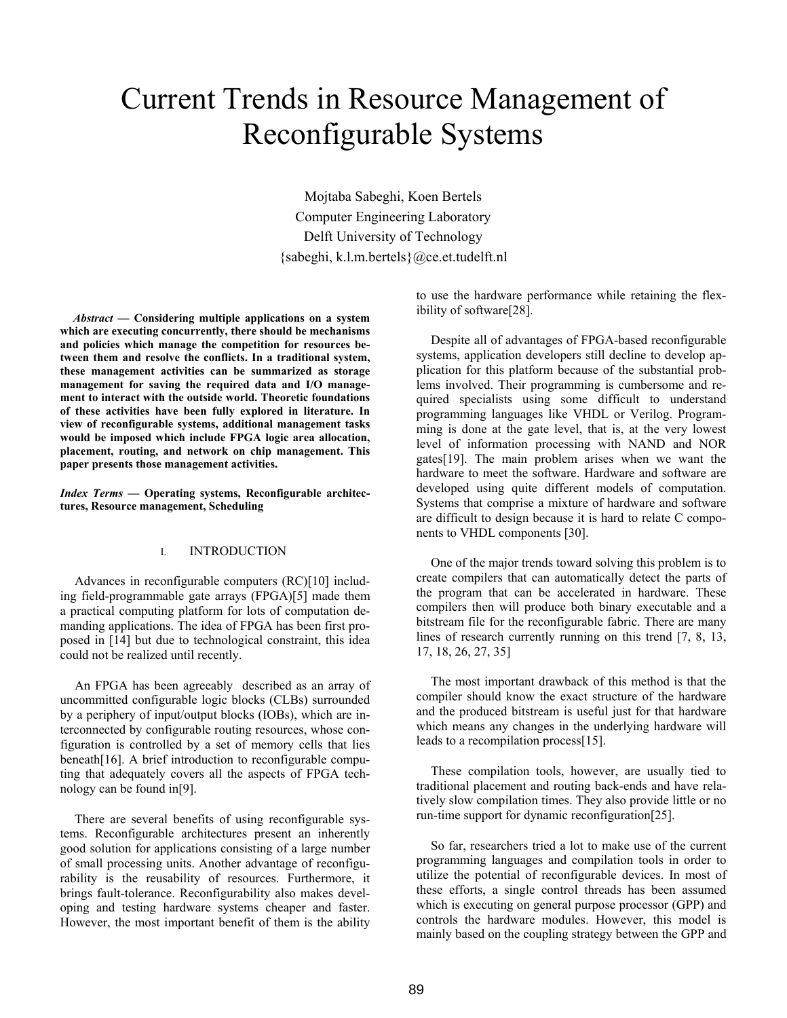# Current Trends in Resource Management of Reconfigurable Systems

Mojtaba Sabeghi, Koen Bertels Computer Engineering Laboratory Delft University of Technology {sabeghi, k.l.m.bertels}@ce.et.tudelft.nl

*Abstract —* **Considering multiple applications on a system which are executing concurrently, there should be mechanisms and policies which manage the competition for resources between them and resolve the conflicts. In a traditional system, these management activities can be summarized as storage management for saving the required data and I/O management to interact with the outside world. Theoretic foundations of these activities have been fully explored in literature. In view of reconfigurable systems, additional management tasks would be imposed which include FPGA logic area allocation, placement, routing, and network on chip management. This paper presents those management activities.** 

*Index Terms* **— Operating systems, Reconfigurable architectures, Resource management, Scheduling** 

## I. INTRODUCTION

Advances in reconfigurable computers (RC)[10] including field-programmable gate arrays (FPGA)[5] made them a practical computing platform for lots of computation demanding applications. The idea of FPGA has been first proposed in [14] but due to technological constraint, this idea could not be realized until recently.

An FPGA has been agreeably described as an array of uncommitted configurable logic blocks (CLBs) surrounded by a periphery of input/output blocks (IOBs), which are interconnected by configurable routing resources, whose configuration is controlled by a set of memory cells that lies beneath[16]. A brief introduction to reconfigurable computing that adequately covers all the aspects of FPGA technology can be found in[9].

There are several benefits of using reconfigurable systems. Reconfigurable architectures present an inherently good solution for applications consisting of a large number of small processing units. Another advantage of reconfigurability is the reusability of resources. Furthermore, it brings fault-tolerance. Reconfigurability also makes developing and testing hardware systems cheaper and faster. However, the most important benefit of them is the ability to use the hardware performance while retaining the flexibility of software[28].

Despite all of advantages of FPGA-based reconfigurable systems, application developers still decline to develop application for this platform because of the substantial problems involved. Their programming is cumbersome and required specialists using some difficult to understand programming languages like VHDL or Verilog. Programming is done at the gate level, that is, at the very lowest level of information processing with NAND and NOR gates[19]. The main problem arises when we want the hardware to meet the software. Hardware and software are developed using quite different models of computation. Systems that comprise a mixture of hardware and software are difficult to design because it is hard to relate C components to VHDL components [30].

One of the major trends toward solving this problem is to create compilers that can automatically detect the parts of the program that can be accelerated in hardware. These compilers then will produce both binary executable and a bitstream file for the reconfigurable fabric. There are many lines of research currently running on this trend [7, 8, 13, 17, 18, 26, 27, 35]

The most important drawback of this method is that the compiler should know the exact structure of the hardware and the produced bitstream is useful just for that hardware which means any changes in the underlying hardware will leads to a recompilation process[15].

These compilation tools, however, are usually tied to traditional placement and routing back-ends and have relatively slow compilation times. They also provide little or no run-time support for dynamic reconfiguration[25].

So far, researchers tried a lot to make use of the current programming languages and compilation tools in order to utilize the potential of reconfigurable devices. In most of these efforts, a single control threads has been assumed which is executing on general purpose processor (GPP) and controls the hardware modules. However, this model is mainly based on the coupling strategy between the GPP and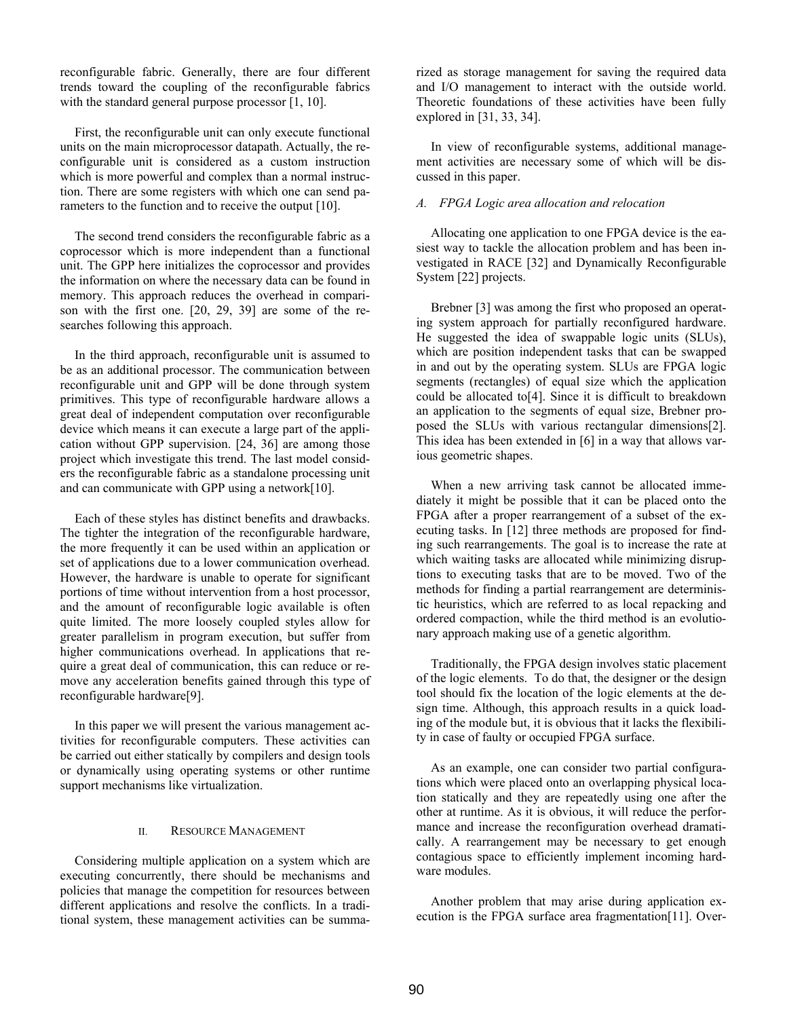reconfigurable fabric. Generally, there are four different trends toward the coupling of the reconfigurable fabrics with the standard general purpose processor [1, 10].

First, the reconfigurable unit can only execute functional units on the main microprocessor datapath. Actually, the reconfigurable unit is considered as a custom instruction which is more powerful and complex than a normal instruction. There are some registers with which one can send parameters to the function and to receive the output [10].

The second trend considers the reconfigurable fabric as a coprocessor which is more independent than a functional unit. The GPP here initializes the coprocessor and provides the information on where the necessary data can be found in memory. This approach reduces the overhead in comparison with the first one. [20, 29, 39] are some of the researches following this approach.

In the third approach, reconfigurable unit is assumed to be as an additional processor. The communication between reconfigurable unit and GPP will be done through system primitives. This type of reconfigurable hardware allows a great deal of independent computation over reconfigurable device which means it can execute a large part of the application without GPP supervision. [24, 36] are among those project which investigate this trend. The last model considers the reconfigurable fabric as a standalone processing unit and can communicate with GPP using a network[10].

Each of these styles has distinct benefits and drawbacks. The tighter the integration of the reconfigurable hardware, the more frequently it can be used within an application or set of applications due to a lower communication overhead. However, the hardware is unable to operate for significant portions of time without intervention from a host processor, and the amount of reconfigurable logic available is often quite limited. The more loosely coupled styles allow for greater parallelism in program execution, but suffer from higher communications overhead. In applications that require a great deal of communication, this can reduce or remove any acceleration benefits gained through this type of reconfigurable hardware[9].

In this paper we will present the various management activities for reconfigurable computers. These activities can be carried out either statically by compilers and design tools or dynamically using operating systems or other runtime support mechanisms like virtualization.

#### II. RESOURCE MANAGEMENT

Considering multiple application on a system which are executing concurrently, there should be mechanisms and policies that manage the competition for resources between different applications and resolve the conflicts. In a traditional system, these management activities can be summarized as storage management for saving the required data and I/O management to interact with the outside world. Theoretic foundations of these activities have been fully explored in [31, 33, 34].

In view of reconfigurable systems, additional management activities are necessary some of which will be discussed in this paper.

## *A. FPGA Logic area allocation and relocation*

Allocating one application to one FPGA device is the easiest way to tackle the allocation problem and has been investigated in RACE [32] and Dynamically Reconfigurable System [22] projects.

Brebner [3] was among the first who proposed an operating system approach for partially reconfigured hardware. He suggested the idea of swappable logic units (SLUs), which are position independent tasks that can be swapped in and out by the operating system. SLUs are FPGA logic segments (rectangles) of equal size which the application could be allocated to[4]. Since it is difficult to breakdown an application to the segments of equal size, Brebner proposed the SLUs with various rectangular dimensions[2]. This idea has been extended in [6] in a way that allows various geometric shapes.

When a new arriving task cannot be allocated immediately it might be possible that it can be placed onto the FPGA after a proper rearrangement of a subset of the executing tasks. In [12] three methods are proposed for finding such rearrangements. The goal is to increase the rate at which waiting tasks are allocated while minimizing disruptions to executing tasks that are to be moved. Two of the methods for finding a partial rearrangement are deterministic heuristics, which are referred to as local repacking and ordered compaction, while the third method is an evolutionary approach making use of a genetic algorithm.

Traditionally, the FPGA design involves static placement of the logic elements. To do that, the designer or the design tool should fix the location of the logic elements at the design time. Although, this approach results in a quick loading of the module but, it is obvious that it lacks the flexibility in case of faulty or occupied FPGA surface.

As an example, one can consider two partial configurations which were placed onto an overlapping physical location statically and they are repeatedly using one after the other at runtime. As it is obvious, it will reduce the performance and increase the reconfiguration overhead dramatically. A rearrangement may be necessary to get enough contagious space to efficiently implement incoming hardware modules.

Another problem that may arise during application execution is the FPGA surface area fragmentation[11]. Over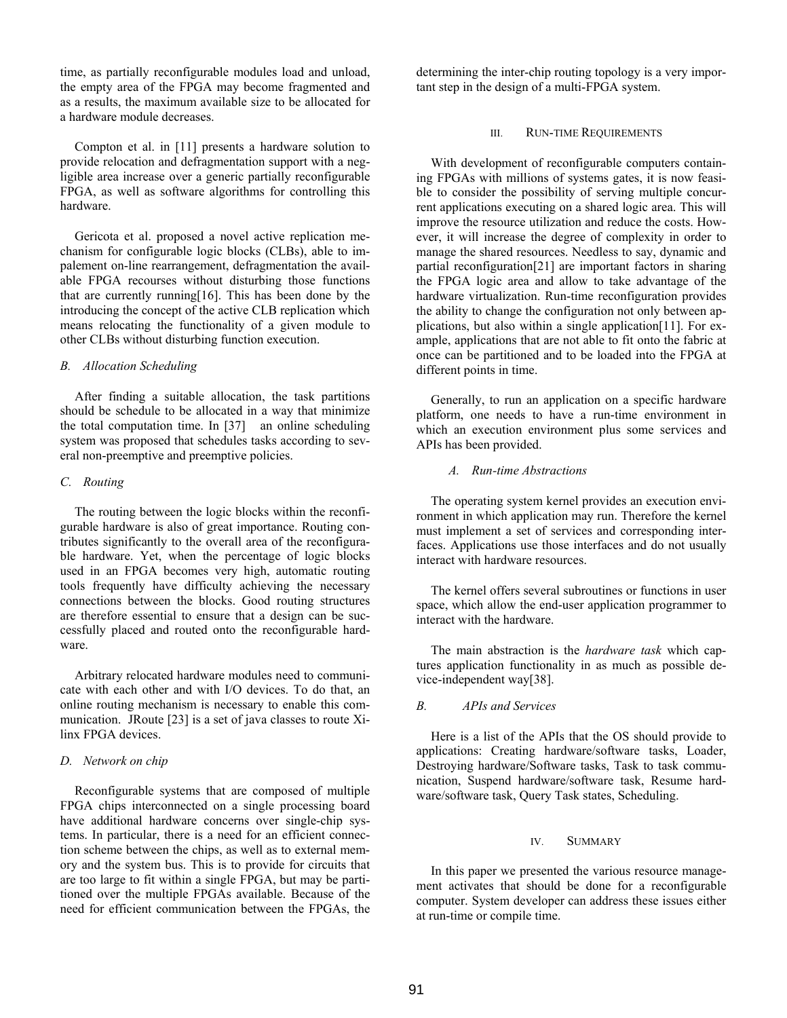time, as partially reconfigurable modules load and unload, the empty area of the FPGA may become fragmented and as a results, the maximum available size to be allocated for a hardware module decreases.

Compton et al. in [11] presents a hardware solution to provide relocation and defragmentation support with a negligible area increase over a generic partially reconfigurable FPGA, as well as software algorithms for controlling this hardware.

Gericota et al. proposed a novel active replication mechanism for configurable logic blocks (CLBs), able to impalement on-line rearrangement, defragmentation the available FPGA recourses without disturbing those functions that are currently running[16]. This has been done by the introducing the concept of the active CLB replication which means relocating the functionality of a given module to other CLBs without disturbing function execution.

## *B. Allocation Scheduling*

After finding a suitable allocation, the task partitions should be schedule to be allocated in a way that minimize the total computation time. In [37] an online scheduling system was proposed that schedules tasks according to several non-preemptive and preemptive policies.

### *C. Routing*

The routing between the logic blocks within the reconfigurable hardware is also of great importance. Routing contributes significantly to the overall area of the reconfigurable hardware. Yet, when the percentage of logic blocks used in an FPGA becomes very high, automatic routing tools frequently have difficulty achieving the necessary connections between the blocks. Good routing structures are therefore essential to ensure that a design can be successfully placed and routed onto the reconfigurable hardware.

Arbitrary relocated hardware modules need to communicate with each other and with I/O devices. To do that, an online routing mechanism is necessary to enable this communication. JRoute [23] is a set of java classes to route Xilinx FPGA devices.

## *D. Network on chip*

Reconfigurable systems that are composed of multiple FPGA chips interconnected on a single processing board have additional hardware concerns over single-chip systems. In particular, there is a need for an efficient connection scheme between the chips, as well as to external memory and the system bus. This is to provide for circuits that are too large to fit within a single FPGA, but may be partitioned over the multiple FPGAs available. Because of the need for efficient communication between the FPGAs, the determining the inter-chip routing topology is a very important step in the design of a multi-FPGA system.

#### III. RUN-TIME REQUIREMENTS

With development of reconfigurable computers containing FPGAs with millions of systems gates, it is now feasible to consider the possibility of serving multiple concurrent applications executing on a shared logic area. This will improve the resource utilization and reduce the costs. However, it will increase the degree of complexity in order to manage the shared resources. Needless to say, dynamic and partial reconfiguration[21] are important factors in sharing the FPGA logic area and allow to take advantage of the hardware virtualization. Run-time reconfiguration provides the ability to change the configuration not only between applications, but also within a single application[11]. For example, applications that are not able to fit onto the fabric at once can be partitioned and to be loaded into the FPGA at different points in time.

Generally, to run an application on a specific hardware platform, one needs to have a run-time environment in which an execution environment plus some services and APIs has been provided.

#### *A. Run-time Abstractions*

The operating system kernel provides an execution environment in which application may run. Therefore the kernel must implement a set of services and corresponding interfaces. Applications use those interfaces and do not usually interact with hardware resources.

The kernel offers several subroutines or functions in user space, which allow the end-user application programmer to interact with the hardware.

The main abstraction is the *hardware task* which captures application functionality in as much as possible device-independent way[38].

## *B. APIs and Services*

Here is a list of the APIs that the OS should provide to applications: Creating hardware/software tasks, Loader, Destroying hardware/Software tasks, Task to task communication, Suspend hardware/software task, Resume hardware/software task, Query Task states, Scheduling.

#### IV. SUMMARY

In this paper we presented the various resource management activates that should be done for a reconfigurable computer. System developer can address these issues either at run-time or compile time.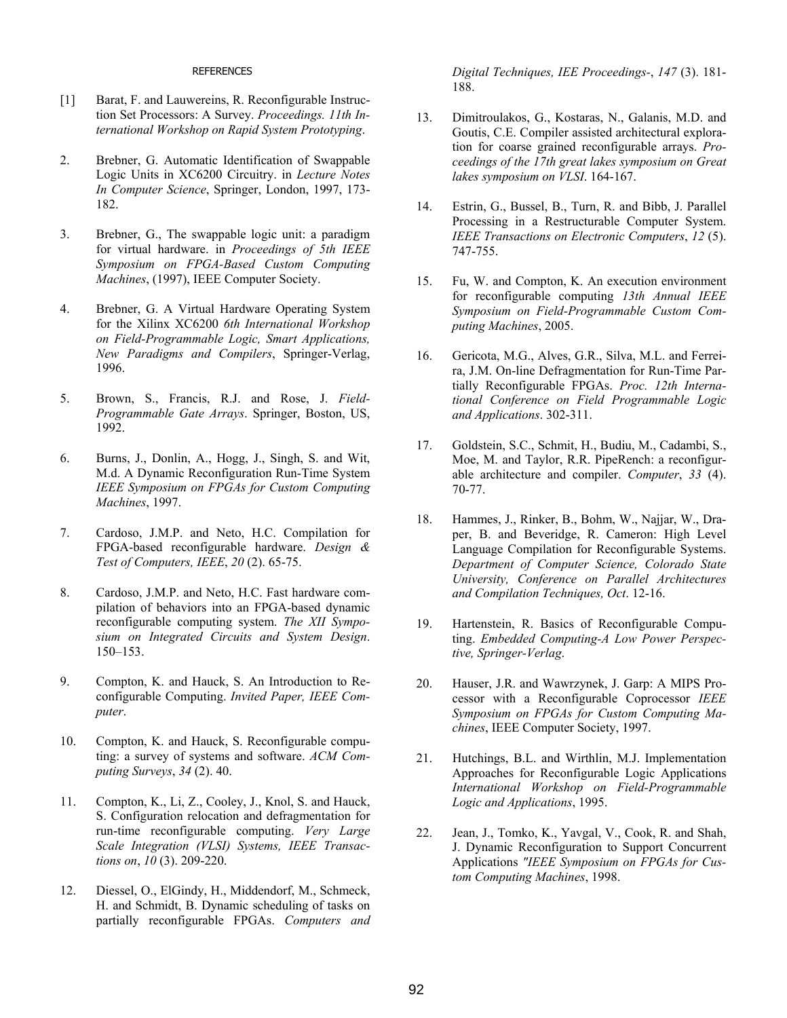#### REFERENCES

- [1] Barat, F. and Lauwereins, R. Reconfigurable Instruction Set Processors: A Survey. *Proceedings. 11th International Workshop on Rapid System Prototyping*.
- 2. Brebner, G. Automatic Identification of Swappable Logic Units in XC6200 Circuitry. in *Lecture Notes In Computer Science*, Springer, London, 1997, 173- 182.
- 3. Brebner, G., The swappable logic unit: a paradigm for virtual hardware. in *Proceedings of 5th IEEE Symposium on FPGA-Based Custom Computing Machines*, (1997), IEEE Computer Society.
- 4. Brebner, G. A Virtual Hardware Operating System for the Xilinx XC6200 *6th International Workshop on Field-Programmable Logic, Smart Applications, New Paradigms and Compilers*, Springer-Verlag, 1996.
- 5. Brown, S., Francis, R.J. and Rose, J. *Field-Programmable Gate Arrays*. Springer, Boston, US, 1992.
- 6. Burns, J., Donlin, A., Hogg, J., Singh, S. and Wit, M.d. A Dynamic Reconfiguration Run-Time System *IEEE Symposium on FPGAs for Custom Computing Machines*, 1997.
- 7. Cardoso, J.M.P. and Neto, H.C. Compilation for FPGA-based reconfigurable hardware. *Design & Test of Computers, IEEE*, *20* (2). 65-75.
- 8. Cardoso, J.M.P. and Neto, H.C. Fast hardware compilation of behaviors into an FPGA-based dynamic reconfigurable computing system. *The XII Symposium on Integrated Circuits and System Design*. 150–153.
- 9. Compton, K. and Hauck, S. An Introduction to Reconfigurable Computing. *Invited Paper, IEEE Computer*.
- 10. Compton, K. and Hauck, S. Reconfigurable computing: a survey of systems and software. *ACM Computing Surveys*, *34* (2). 40.
- 11. Compton, K., Li, Z., Cooley, J., Knol, S. and Hauck, S. Configuration relocation and defragmentation for run-time reconfigurable computing. *Very Large Scale Integration (VLSI) Systems, IEEE Transactions on*, *10* (3). 209-220.
- 12. Diessel, O., ElGindy, H., Middendorf, M., Schmeck, H. and Schmidt, B. Dynamic scheduling of tasks on partially reconfigurable FPGAs. *Computers and*

*Digital Techniques, IEE Proceedings-*, *147* (3). 181- 188.

- 13. Dimitroulakos, G., Kostaras, N., Galanis, M.D. and Goutis, C.E. Compiler assisted architectural exploration for coarse grained reconfigurable arrays. *Proceedings of the 17th great lakes symposium on Great lakes symposium on VLSI*. 164-167.
- 14. Estrin, G., Bussel, B., Turn, R. and Bibb, J. Parallel Processing in a Restructurable Computer System. *IEEE Transactions on Electronic Computers*, *12* (5). 747-755.
- 15. Fu, W. and Compton, K. An execution environment for reconfigurable computing *13th Annual IEEE Symposium on Field-Programmable Custom Computing Machines*, 2005.
- 16. Gericota, M.G., Alves, G.R., Silva, M.L. and Ferreira, J.M. On-line Defragmentation for Run-Time Partially Reconfigurable FPGAs. *Proc. 12th International Conference on Field Programmable Logic and Applications*. 302-311.
- 17. Goldstein, S.C., Schmit, H., Budiu, M., Cadambi, S., Moe, M. and Taylor, R.R. PipeRench: a reconfigurable architecture and compiler. *Computer*, *33* (4). 70-77.
- 18. Hammes, J., Rinker, B., Bohm, W., Najjar, W., Draper, B. and Beveridge, R. Cameron: High Level Language Compilation for Reconfigurable Systems. *Department of Computer Science, Colorado State University, Conference on Parallel Architectures and Compilation Techniques, Oct*. 12-16.
- 19. Hartenstein, R. Basics of Reconfigurable Computing. *Embedded Computing-A Low Power Perspective, Springer-Verlag*.
- 20. Hauser, J.R. and Wawrzynek, J. Garp: A MIPS Processor with a Reconfigurable Coprocessor *IEEE Symposium on FPGAs for Custom Computing Machines*, IEEE Computer Society, 1997.
- 21. Hutchings, B.L. and Wirthlin, M.J. Implementation Approaches for Reconfigurable Logic Applications *International Workshop on Field-Programmable Logic and Applications*, 1995.
- 22. Jean, J., Tomko, K., Yavgal, V., Cook, R. and Shah, J. Dynamic Reconfiguration to Support Concurrent Applications *"IEEE Symposium on FPGAs for Custom Computing Machines*, 1998.